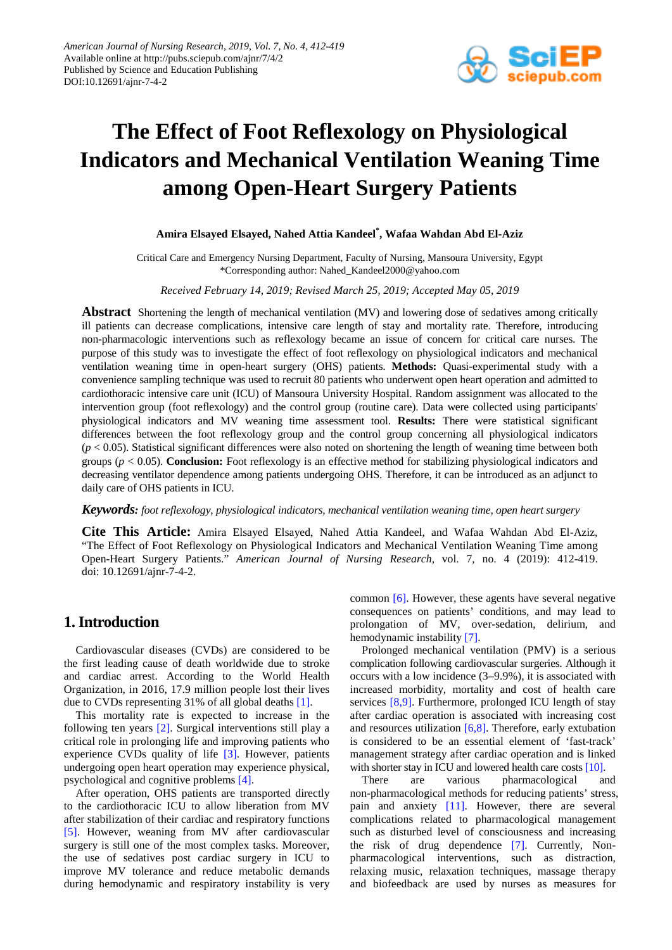

# **The Effect of Foot Reflexology on Physiological Indicators and Mechanical Ventilation Weaning Time among Open-Heart Surgery Patients**

# **Amira Elsayed Elsayed, Nahed Attia Kandeel\* , Wafaa Wahdan Abd El-Aziz**

Critical Care and Emergency Nursing Department, Faculty of Nursing, Mansoura University, Egypt \*Corresponding author: Nahed\_Kandeel2000@yahoo.com

*Received February 14, 2019; Revised March 25, 2019; Accepted May 05, 2019*

**Abstract** Shortening the length of mechanical ventilation (MV) and lowering dose of sedatives among critically ill patients can decrease complications, intensive care length of stay and mortality rate. Therefore, introducing non-pharmacologic interventions such as reflexology became an issue of concern for critical care nurses. The purpose of this study was to investigate the effect of foot reflexology on physiological indicators and mechanical ventilation weaning time in open-heart surgery (OHS) patients. **Methods:** Quasi-experimental study with a convenience sampling technique was used to recruit 80 patients who underwent open heart operation and admitted to cardiothoracic intensive care unit (ICU) of Mansoura University Hospital. Random assignment was allocated to the intervention group (foot reflexology) and the control group (routine care). Data were collected using participants' physiological indicators and MV weaning time assessment tool. **Results:** There were statistical significant differences between the foot reflexology group and the control group concerning all physiological indicators  $(p < 0.05)$ . Statistical significant differences were also noted on shortening the length of weaning time between both groups (*p* < 0.05). **Conclusion:** Foot reflexology is an effective method for stabilizing physiological indicators and decreasing ventilator dependence among patients undergoing OHS. Therefore, it can be introduced as an adjunct to daily care of OHS patients in ICU.

### *Keywords: foot reflexology, physiological indicators, mechanical ventilation weaning time, open heart surgery*

**Cite This Article:** Amira Elsayed Elsayed, Nahed Attia Kandeel, and Wafaa Wahdan Abd El-Aziz, "The Effect of Foot Reflexology on Physiological Indicators and Mechanical Ventilation Weaning Time among Open-Heart Surgery Patients." *American Journal of Nursing Research*, vol. 7, no. 4 (2019): 412-419. doi: 10.12691/ajnr-7-4-2.

# **1. Introduction**

Cardiovascular diseases (CVDs) are considered to be the first leading cause of death worldwide due to stroke and cardiac arrest. According to the World Health Organization, in 2016, 17.9 million people lost their lives due to CVDs representing 31% of all global deaths [\[1\].](#page-6-0)

This mortality rate is expected to increase in the following ten years [\[2\].](#page-6-1) Surgical interventions still play a critical role in prolonging life and improving patients who experience CVDs quality of life [\[3\].](#page-6-2) However, patients undergoing open heart operation may experience physical, psychological and cognitive problems [\[4\].](#page-6-3)

After operation, OHS patients are transported directly to the cardiothoracic ICU to allow liberation from MV after stabilization of their cardiac and respiratory functions [\[5\].](#page-6-4) However, weaning from MV after cardiovascular surgery is still one of the most complex tasks. Moreover, the use of sedatives post cardiac surgery in ICU to improve MV tolerance and reduce metabolic demands during hemodynamic and respiratory instability is very common [\[6\].](#page-6-5) However, these agents have several negative consequences on patients' conditions, and may lead to prolongation of MV, over-sedation, delirium, and hemodynamic instability [\[7\].](#page-6-6)

Prolonged mechanical ventilation (PMV) is a serious complication following cardiovascular surgeries. Although it occurs with a low incidence (3–9.9%), it is associated with increased morbidity, mortality and cost of health care services [\[8,9\].](#page-6-7) Furthermore, prolonged ICU length of stay after cardiac operation is associated with increasing cost and resources utilization [\[6,8\].](#page-6-5) Therefore, early extubation is considered to be an essential element of 'fast-track' management strategy after cardiac operation and is linked with shorter stay in ICU and lowered health care cost[s \[10\].](#page-6-8)

There are various pharmacological and non-pharmacological methods for reducing patients' stress, pain and anxiety [\[11\].](#page-6-9) However, there are several complications related to pharmacological management such as disturbed level of consciousness and increasing the risk of drug dependence [\[7\].](#page-6-6) Currently, Nonpharmacological interventions, such as distraction, relaxing music, relaxation techniques, massage therapy and biofeedback are used by nurses as measures for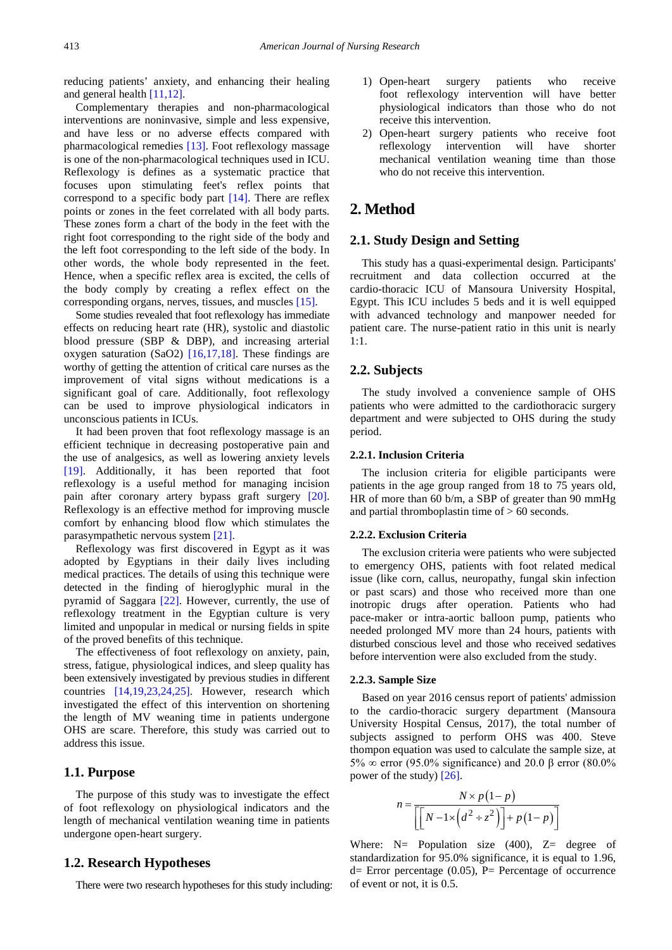reducing patients' anxiety, and enhancing their healing and general health [\[11,12\].](#page-6-9)

Complementary therapies and non-pharmacological interventions are noninvasive, simple and less expensive, and have less or no adverse effects compared with pharmacological remedies [\[13\].](#page-6-10) Foot reflexology massage is one of the non-pharmacological techniques used in ICU. Reflexology is defines as a systematic practice that focuses upon stimulating feet's reflex points that correspond to a specific body part [\[14\].](#page-6-11) There are reflex points or zones in the feet correlated with all body parts. These zones form a chart of the body in the feet with the right foot corresponding to the right side of the body and the left foot corresponding to the left side of the body. In other words, the whole body represented in the feet. Hence, when a specific reflex area is excited, the cells of the body comply by creating a reflex effect on the corresponding organs, nerves, tissues, and muscles [\[15\].](#page-6-12)

Some studies revealed that foot reflexology has immediate effects on reducing heart rate (HR), systolic and diastolic blood pressure (SBP & DBP), and increasing arterial oxygen saturation (SaO2)  $[16,17,18]$ . These findings are worthy of getting the attention of critical care nurses as the improvement of vital signs without medications is a significant goal of care. Additionally, foot reflexology can be used to improve physiological indicators in unconscious patients in ICUs.

It had been proven that foot reflexology massage is an efficient technique in decreasing postoperative pain and the use of analgesics, as well as lowering anxiety levels [\[19\].](#page-6-14) Additionally, it has been reported that foot reflexology is a useful method for managing incision pain after coronary artery bypass graft surgery [\[20\].](#page-6-15) Reflexology is an effective method for improving muscle comfort by enhancing blood flow which stimulates the parasympathetic nervous system [\[21\].](#page-6-16)

Reflexology was first discovered in Egypt as it was adopted by Egyptians in their daily lives including medical practices. The details of using this technique were detected in the finding of hieroglyphic mural in the pyramid of Saggara [\[22\].](#page-6-17) However, currently, the use of reflexology treatment in the Egyptian culture is very limited and unpopular in medical or nursing fields in spite of the proved benefits of this technique.

The effectiveness of foot reflexology on anxiety, pain, stress, fatigue, physiological indices, and sleep quality has been extensively investigated by previous studies in different countries [\[14,19,23,24,25\].](#page-6-11) However, research which investigated the effect of this intervention on shortening the length of MV weaning time in patients undergone OHS are scare. Therefore, this study was carried out to address this issue.

## **1.1. Purpose**

The purpose of this study was to investigate the effect of foot reflexology on physiological indicators and the length of mechanical ventilation weaning time in patients undergone open-heart surgery.

### **1.2. Research Hypotheses**

There were two research hypotheses for this study including:

- 1) Open-heart surgery patients who receive foot reflexology intervention will have better physiological indicators than those who do not receive this intervention.
- 2) Open-heart surgery patients who receive foot reflexology intervention will have shorter mechanical ventilation weaning time than those who do not receive this intervention.

# **2. Method**

# **2.1. Study Design and Setting**

This study has a quasi-experimental design. Participants' recruitment and data collection occurred at the cardio-thoracic ICU of Mansoura University Hospital, Egypt. This ICU includes 5 beds and it is well equipped with advanced technology and manpower needed for patient care. The nurse-patient ratio in this unit is nearly 1:1.

# **2.2. Subjects**

The study involved a convenience sample of OHS patients who were admitted to the cardiothoracic surgery department and were subjected to OHS during the study period.

#### **2.2.1. Inclusion Criteria**

The inclusion criteria for eligible participants were patients in the age group ranged from 18 to 75 years old, HR of more than 60 b/m, a SBP of greater than 90 mmHg and partial thromboplastin time of  $> 60$  seconds.

#### **2.2.2. Exclusion Criteria**

The exclusion criteria were patients who were subjected to emergency OHS, patients with foot related medical issue (like corn, callus, neuropathy, fungal skin infection or past scars) and those who received more than one inotropic drugs after operation. Patients who had pace-maker or intra-aortic balloon pump, patients who needed prolonged MV more than 24 hours, patients with disturbed conscious level and those who received sedatives before intervention were also excluded from the study.

#### **2.2.3. Sample Size**

Based on year 2016 census report of patients' admission to the cardio-thoracic surgery department (Mansoura University Hospital Census, 2017), the total number of subjects assigned to perform OHS was 400. Steve thompon equation was used to calculate the sample size, at 5%  $\infty$  error (95.0% significance) and 20.0 β error (80.0%) power of the study[\) \[26\].](#page-6-18)

$$
n = \frac{N \times p(1-p)}{\left[\left[N-1 \times \left(d^2 \div z^2\right)\right] + p(1-p)\right]}
$$

Where:  $N =$  Population size (400),  $Z =$  degree of standardization for 95.0% significance, it is equal to 1.96,  $d=$  Error percentage (0.05), P= Percentage of occurrence of event or not, it is 0.5.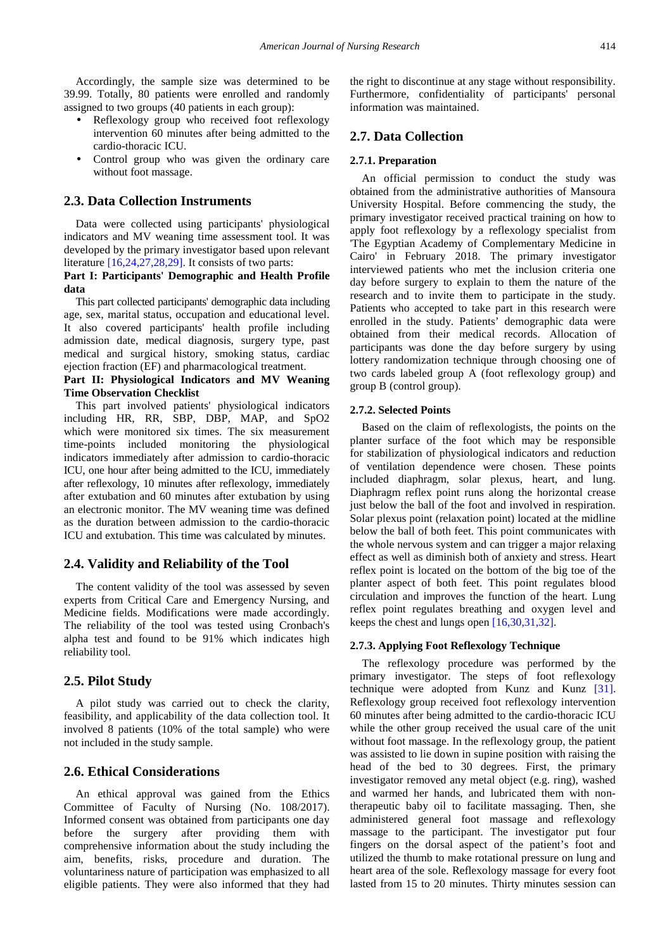Accordingly, the sample size was determined to be 39.99. Totally, 80 patients were enrolled and randomly assigned to two groups (40 patients in each group):

- Reflexology group who received foot reflexology intervention 60 minutes after being admitted to the cardio-thoracic ICU.
- Control group who was given the ordinary care without foot massage.

#### **2.3. Data Collection Instruments**

Data were collected using participants' physiological indicators and MV weaning time assessment tool. It was developed by the primary investigator based upon relevant literature [\[16,24,27,28,29\].](#page-6-13) It consists of two parts:

### **Part I: Participants' Demographic and Health Profile data**

This part collected participants' demographic data including age, sex, marital status, occupation and educational level. It also covered participants' health profile including admission date, medical diagnosis, surgery type, past medical and surgical history, smoking status, cardiac ejection fraction (EF) and pharmacological treatment.

### **Part II: Physiological Indicators and MV Weaning Time Observation Checklist**

This part involved patients' physiological indicators including HR, RR, SBP, DBP, MAP, and SpO2 which were monitored six times. The six measurement time-points included monitoring the physiological indicators immediately after admission to cardio-thoracic ICU, one hour after being admitted to the ICU, immediately after reflexology, 10 minutes after reflexology, immediately after extubation and 60 minutes after extubation by using an electronic monitor. The MV weaning time was defined as the duration between admission to the cardio-thoracic ICU and extubation. This time was calculated by minutes.

# **2.4. Validity and Reliability of the Tool**

The content validity of the tool was assessed by seven experts from Critical Care and Emergency Nursing, and Medicine fields. Modifications were made accordingly. The reliability of the tool was tested using Cronbach's alpha test and found to be 91% which indicates high reliability tool.

### **2.5. Pilot Study**

A pilot study was carried out to check the clarity, feasibility, and applicability of the data collection tool. It involved 8 patients (10% of the total sample) who were not included in the study sample.

#### **2.6. Ethical Considerations**

An ethical approval was gained from the Ethics Committee of Faculty of Nursing (No. 108/2017). Informed consent was obtained from participants one day before the surgery after providing them with comprehensive information about the study including the aim, benefits, risks, procedure and duration. The voluntariness nature of participation was emphasized to all eligible patients. They were also informed that they had the right to discontinue at any stage without responsibility. Furthermore, confidentiality of participants' personal information was maintained.

# **2.7. Data Collection**

#### **2.7.1. Preparation**

An official permission to conduct the study was obtained from the administrative authorities of Mansoura University Hospital. Before commencing the study, the primary investigator received practical training on how to apply foot reflexology by a reflexology specialist from 'The Egyptian Academy of Complementary Medicine in Cairo' in February 2018. The primary investigator interviewed patients who met the inclusion criteria one day before surgery to explain to them the nature of the research and to invite them to participate in the study. Patients who accepted to take part in this research were enrolled in the study. Patients' demographic data were obtained from their medical records. Allocation of participants was done the day before surgery by using lottery randomization technique through choosing one of two cards labeled group A (foot reflexology group) and group B (control group).

#### **2.7.2. Selected Points**

Based on the claim of reflexologists, the points on the planter surface of the foot which may be responsible for stabilization of physiological indicators and reduction of ventilation dependence were chosen. These points included diaphragm, solar plexus, heart, and lung. Diaphragm reflex point runs along the horizontal crease just below the ball of the foot and involved in respiration. Solar plexus point (relaxation point) located at the midline below the ball of both feet. This point communicates with the whole nervous system and can trigger a major relaxing effect as well as diminish both of anxiety and stress. Heart reflex point is located on the bottom of the big toe of the planter aspect of both feet. This point regulates blood circulation and improves the function of the heart. Lung reflex point regulates breathing and oxygen level and keeps the chest and lungs open [\[16,30,31,32\].](#page-6-13)

#### **2.7.3. Applying Foot Reflexology Technique**

The reflexology procedure was performed by the primary investigator. The steps of foot reflexology technique were adopted from Kunz and Kunz [\[31\].](#page-6-19) Reflexology group received foot reflexology intervention 60 minutes after being admitted to the cardio-thoracic ICU while the other group received the usual care of the unit without foot massage. In the reflexology group, the patient was assisted to lie down in supine position with raising the head of the bed to 30 degrees. First, the primary investigator removed any metal object (e.g. ring), washed and warmed her hands, and lubricated them with nontherapeutic baby oil to facilitate massaging. Then, she administered general foot massage and reflexology massage to the participant. The investigator put four fingers on the dorsal aspect of the patient's foot and utilized the thumb to make rotational pressure on lung and heart area of the sole. Reflexology massage for every foot lasted from 15 to 20 minutes. Thirty minutes session can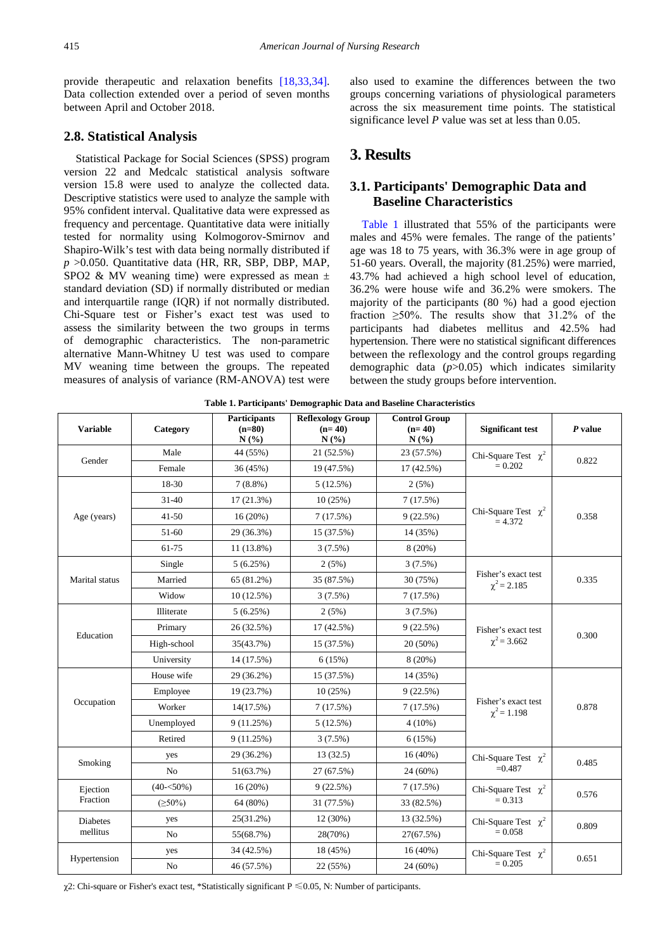provide therapeutic and relaxation benefits [\[18,33,34\].](#page-6-20) Data collection extended over a period of seven months between April and October 2018.

# **2.8. Statistical Analysis**

Statistical Package for Social Sciences (SPSS) program version 22 and Medcalc statistical analysis software version 15.8 were used to analyze the collected data. Descriptive statistics were used to analyze the sample with 95% confident interval. Qualitative data were expressed as frequency and percentage. Quantitative data were initially tested for normality using Kolmogorov-Smirnov and Shapiro-Wilk's test with data being normally distributed if *p* >0.050. Quantitative data (HR, RR, SBP, DBP, MAP, SPO2 & MV weaning time) were expressed as mean  $\pm$ standard deviation (SD) if normally distributed or median and interquartile range (IQR) if not normally distributed. Chi-Square test or Fisher's exact test was used to assess the similarity between the two groups in terms of demographic characteristics. The non-parametric alternative Mann-Whitney U test was used to compare MV weaning time between the groups. The repeated measures of analysis of variance (RM-ANOVA) test were also used to examine the differences between the two groups concerning variations of physiological parameters across the six measurement time points. The statistical significance level *P* value was set at less than 0.05.

# **3. Results**

# **3.1. Participants' Demographic Data and Baseline Characteristics**

[Table 1](#page-3-0) illustrated that 55% of the participants were males and 45% were females. The range of the patients' age was 18 to 75 years, with 36.3% were in age group of 51-60 years. Overall, the majority (81.25%) were married, 43.7% had achieved a high school level of education, 36.2% were house wife and 36.2% were smokers. The majority of the participants (80 %) had a good ejection fraction  $\geq 50\%$ . The results show that 31.2% of the participants had diabetes mellitus and 42.5% had hypertension. There were no statistical significant differences between the reflexology and the control groups regarding demographic data (*p*>0.05) which indicates similarity between the study groups before intervention.

<span id="page-3-0"></span>

| <b>Variable</b>      | Category       | <b>Participants</b><br>$(n=80)$<br>N(%) | <b>Reflexology Group</b><br>$(n=40)$<br>N(%) | <b>Control Group</b><br>$(n=40)$<br>N(%) | <b>Significant test</b>                 | $P$ value |
|----------------------|----------------|-----------------------------------------|----------------------------------------------|------------------------------------------|-----------------------------------------|-----------|
| Gender               | Male           | 44 (55%)                                | 21 (52.5%)                                   | 23 (57.5%)                               | Chi-Square Test $\chi^2$                | 0.822     |
|                      | Female         | 36 (45%)                                | 19 (47.5%)                                   | 17 (42.5%)                               | $= 0.202$                               |           |
| Age (years)          | 18-30          | $7(8.8\%)$                              | 5 (12.5%)                                    | 2(5%)                                    |                                         | 0.358     |
|                      | $31 - 40$      | $17(21.3\%)$                            | 10(25%)                                      | 7(17.5%)                                 |                                         |           |
|                      | 41-50          | 16(20%)                                 | 7(17.5%)                                     | 9(22.5%)                                 | Chi-Square Test $\chi^2$<br>$= 4.372$   |           |
|                      | 51-60          | 29 (36.3%)                              | 15 (37.5%)                                   | 14 (35%)                                 |                                         |           |
|                      | 61-75          | 11 (13.8%)                              | $3(7.5\%)$                                   | $8(20\%)$                                |                                         |           |
|                      | Single         | 5(6.25%)                                | 2(5%)                                        | $3(7.5\%)$                               |                                         | 0.335     |
| Marital status       | Married        | 65 (81.2%)                              | 35 (87.5%)                                   | 30 (75%)                                 | Fisher's exact test<br>$\chi^2$ = 2.185 |           |
|                      | Widow          | 10(12.5%)                               | $3(7.5\%)$                                   | 7(17.5%)                                 |                                         |           |
| Education            | Illiterate     | 5(6.25%)                                | 2(5%)                                        | $3(7.5\%)$                               |                                         | 0.300     |
|                      | Primary        | 26 (32.5%)                              | 17 (42.5%)                                   | 9(22.5%)                                 | Fisher's exact test                     |           |
|                      | High-school    | 35(43.7%)                               | 15 (37.5%)                                   | 20 (50%)                                 | $\chi^2$ = 3.662                        |           |
|                      | University     | 14 (17.5%)                              | 6(15%)                                       | 8(20%)                                   |                                         |           |
|                      | House wife     | 29 (36.2%)                              | 15 (37.5%)                                   | 14 (35%)                                 |                                         | 0.878     |
|                      | Employee       | 19 (23.7%)                              | 10(25%)                                      | 9(22.5%)                                 |                                         |           |
| Occupation           | Worker         | 14(17.5%)                               | 7(17.5%)                                     | 7(17.5%)                                 | Fisher's exact test<br>$\chi^2$ = 1.198 |           |
|                      | Unemployed     | 9(11.25%)                               | 5(12.5%)                                     | $4(10\%)$                                |                                         |           |
|                      | Retired        | 9(11.25%)                               | 3(7.5%)                                      | 6(15%)                                   |                                         |           |
|                      | yes            | 29 (36.2%)                              | 13(32.5)                                     | $16(40\%)$                               | Chi-Square Test $\chi^2$                | 0.485     |
| Smoking              | N <sub>o</sub> | 51(63.7%)                               | 27 (67.5%)                                   | 24 (60%)                                 | $=0.487$                                |           |
| Ejection<br>Fraction | $(40 - 50\%)$  | 16(20%)                                 | 9(22.5%)                                     | 7 (17.5%)                                | Chi-Square Test $\chi^2$                | 0.576     |
|                      | $(\geq 50\%)$  | 64 (80%)                                | 31 (77.5%)                                   | 33 (82.5%)                               | $= 0.313$                               |           |
| Diabetes<br>mellitus | yes            | 25(31.2%)                               | 12 (30%)                                     | 13 (32.5%)                               | Chi-Square Test $\chi^2$                | 0.809     |
|                      | N <sub>o</sub> | 55(68.7%)                               | 28(70%)                                      | 27(67.5%)                                | $= 0.058$                               |           |
| Hypertension         | yes            | 34 (42.5%)                              | 18 (45%)                                     | $16(40\%)$                               | Chi-Square Test $\chi^2$                | 0.651     |
|                      | N <sub>o</sub> | 46 (57.5%)                              | 22 (55%)                                     | 24 (60%)                                 | $= 0.205$                               |           |

**Table 1. Participants' Demographic Data and Baseline Characteristics**

 $\chi$ 2: Chi-square or Fisher's exact test, \*Statistically significant P  $\leq$  0.05, N: Number of participants.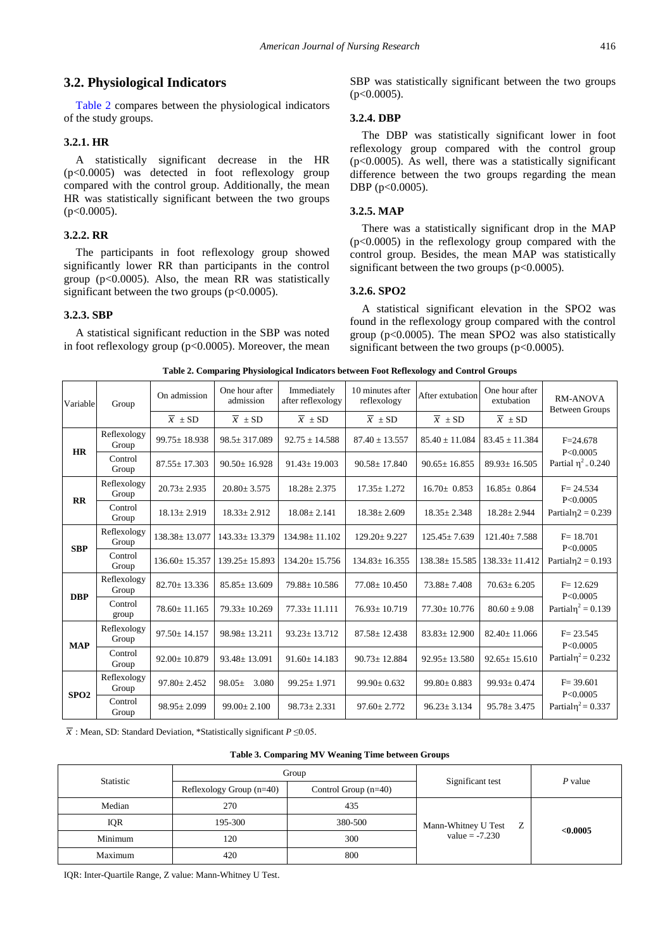# **3.2. Physiological Indicators**

[Table 2](#page-4-0) compares between the physiological indicators of the study groups.

### **3.2.1. HR**

A statistically significant decrease in the HR (p<0.0005) was detected in foot reflexology group compared with the control group. Additionally, the mean HR was statistically significant between the two groups  $(p<0.0005)$ .

### **3.2.2. RR**

The participants in foot reflexology group showed significantly lower RR than participants in the control group ( $p<0.0005$ ). Also, the mean RR was statistically significant between the two groups  $(p<0.0005)$ .

### **3.2.3. SBP**

A statistical significant reduction in the SBP was noted in foot reflexology group ( $p<0.0005$ ). Moreover, the mean SBP was statistically significant between the two groups  $(p<0.0005)$ .

#### **3.2.4. DBP**

The DBP was statistically significant lower in foot reflexology group compared with the control group  $(p<0.0005)$ . As well, there was a statistically significant difference between the two groups regarding the mean DBP (p<0.0005).

#### **3.2.5. MAP**

There was a statistically significant drop in the MAP (p<0.0005) in the reflexology group compared with the control group. Besides, the mean MAP was statistically significant between the two groups  $(p<0.0005)$ .

### **3.2.6. SPO2**

A statistical significant elevation in the SPO2 was found in the reflexology group compared with the control group ( $p<0.0005$ ). The mean SPO2 was also statistically significant between the two groups  $(p<0.0005)$ .

<span id="page-4-0"></span>

| Variable         | Group                | On admission          | One hour after<br>admission      | Immediately<br>after reflexology | 10 minutes after<br>reflexology  | After extubation      | One hour after<br>extubation | <b>RM-ANOVA</b><br><b>Between Groups</b>                        |  |
|------------------|----------------------|-----------------------|----------------------------------|----------------------------------|----------------------------------|-----------------------|------------------------------|-----------------------------------------------------------------|--|
|                  |                      | $\overline{x} \pm SD$ | $\overline{x} \ \pm \mathrm{SD}$ | $\overline{x} \pm SD$            | $\overline{x} \ \pm \mathrm{SD}$ | $\overline{x} \pm SD$ | $\overline{x} \pm SD$        |                                                                 |  |
| <b>HR</b>        | Reflexology<br>Group | $99.75 \pm 18.938$    | $98.5 \pm 317.089$               | $92.75 \pm 14.588$               | $87.40 \pm 13.557$               | $85.40 \pm 11.084$    | $83.45 \pm 11.384$           | $F = 24.678$                                                    |  |
|                  | Control<br>Group     | $87.55 \pm 17.303$    | $90.50 \pm 16.928$               | $91.43 + 19.003$                 | $90.58 \pm 17.840$               | $90.65 \pm 16.855$    | $89.93 \pm 16.505$           | P<0.0005<br>Partial $\eta^2 = 0.240$                            |  |
| $\mathbf{R}$     | Reflexology<br>Group | $20.73 \pm 2.935$     | $20.80 \pm 3.575$                | $18.28 \pm 2.375$                | $17.35 \pm 1.272$                | $16.70 \pm 0.853$     | $16.85 \pm 0.864$            | $F = 24.534$<br>P<0.0005<br>Partial $\eta$ 2 = 0.239            |  |
|                  | Control<br>Group     | $18.13 \pm 2.919$     | $18.33 \pm 2.912$                | $18.08 \pm 2.141$                | $18.38 \pm 2.609$                | $18.35 \pm 2.348$     | $18.28 \pm 2.944$            |                                                                 |  |
| <b>SBP</b>       | Reflexology<br>Group | $138.38 \pm 13.077$   | $143.33 \pm 13.379$              | $134.98 \pm 11.102$              | $129.20 \pm 9.227$               | $125.45 \pm 7.639$    | $121.40 \pm 7.588$           | $F = 18.701$<br>P<0.0005<br>Partial $\eta$ <sub>2</sub> = 0.193 |  |
|                  | Control<br>Group     | $136.60 \pm 15.357$   | $139.25 \pm 15.893$              | $134.20 \pm 15.756$              | $134.83 \pm 16.355$              | $138.38 \pm 15.585$   | $138.33 \pm 11.412$          |                                                                 |  |
| <b>DBP</b>       | Reflexology<br>Group | $82.70 \pm 13.336$    | $85.85 \pm 13.609$               | $79.88 \pm 10.586$               | $77.08 \pm 10.450$               | $73.88 \pm 7.408$     | $70.63 \pm 6.205$            | $F = 12.629$<br>P<0.0005<br>Partial $\eta^2 = 0.139$            |  |
|                  | Control<br>group     | $78.60 \pm 11.165$    | $79.33 \pm 10.269$               | $77.33 \pm 11.111$               | $76.93 \pm 10.719$               | $77.30 \pm 10.776$    | $80.60 \pm 9.08$             |                                                                 |  |
| <b>MAP</b>       | Reflexology<br>Group | $97.50 \pm 14.157$    | $98.98 \pm 13.211$               | $93.23 \pm 13.712$               | $87.58 \pm 12.438$               | $83.83 \pm 12.900$    | $82.40 \pm 11.066$           | $F = 23.545$<br>P<0.0005                                        |  |
|                  | Control<br>Group     | $92.00 \pm 10.879$    | $93.48 \pm 13.091$               | $91.60 \pm 14.183$               | $90.73 \pm 12.884$               | $92.95 \pm 13.580$    | $92.65 \pm 15.610$           | Partial $\eta^2$ = 0.232                                        |  |
| SPO <sub>2</sub> | Reflexology<br>Group | $97.80 \pm 2.452$     | 3.080<br>$98.05\pm$              | $99.25 \pm 1.971$                | $99.90 \pm 0.632$                | $99.80 \pm 0.883$     | $99.93 \pm 0.474$            | $F = 39.601$<br>P<0.0005<br>Partial $\eta^2$ = 0.337            |  |
|                  | Control<br>Group     | $98.95 \pm 2.099$     | $99.00 \pm 2.100$                | $98.73 \pm 2.331$                | $97.60 \pm 2.772$                | $96.23 \pm 3.134$     | $95.78 \pm 3.475$            |                                                                 |  |

**Table 2. Comparing Physiological Indicators between Foot Reflexology and Control Groups**

*x* : Mean, SD: Standard Deviation, \*Statistically significant *P* ≤0.05.

| Table 3. Comparing MV Weaning Time between Groups |  |  |
|---------------------------------------------------|--|--|
|---------------------------------------------------|--|--|

<span id="page-4-1"></span>

| Statistic  |                            | Group                  |                          | P value  |
|------------|----------------------------|------------------------|--------------------------|----------|
|            | Reflexology Group $(n=40)$ | Control Group $(n=40)$ | Significant test         |          |
| Median     | 270                        | 435                    |                          | < 0.0005 |
| <b>IQR</b> | 195-300                    | 380-500                | Mann-Whitney U Test<br>Z |          |
| Minimum    | 120                        | 300                    | $value = -7.230$         |          |
| Maximum    | 420                        | 800                    |                          |          |

IQR: Inter-Quartile Range, Z value: Mann-Whitney U Test.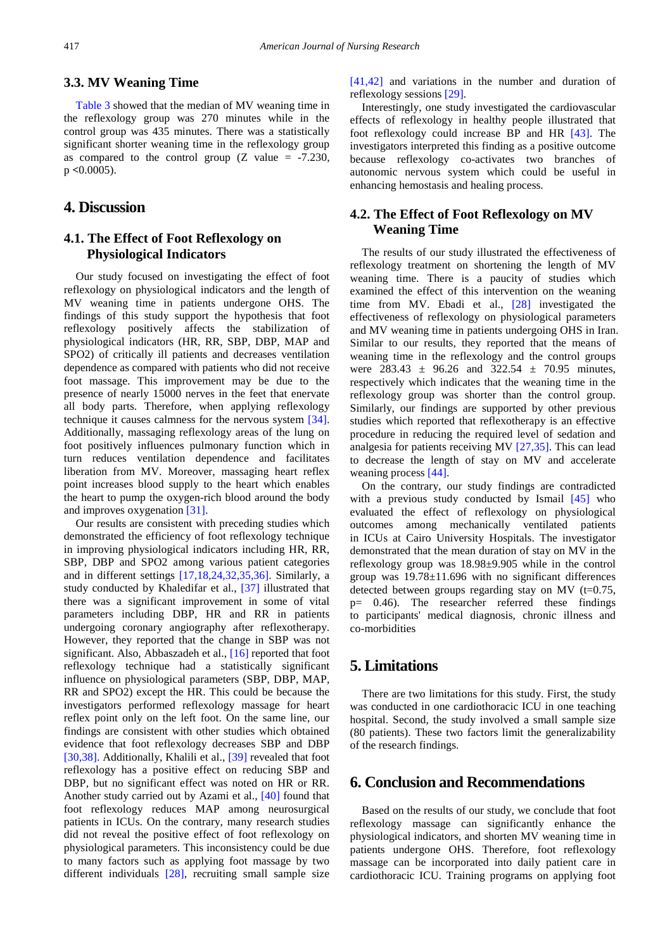# **3.3. MV Weaning Time**

[Table 3](#page-4-1) showed that the median of MV weaning time in the reflexology group was 270 minutes while in the control group was 435 minutes. There was a statistically significant shorter weaning time in the reflexology group as compared to the control group  $(Z \text{ value} = -7.230,$ p **<**0.0005).

# **4. Discussion**

# **4.1. The Effect of Foot Reflexology on Physiological Indicators**

Our study focused on investigating the effect of foot reflexology on physiological indicators and the length of MV weaning time in patients undergone OHS. The findings of this study support the hypothesis that foot reflexology positively affects the stabilization of physiological indicators (HR, RR, SBP, DBP, MAP and SPO2) of critically ill patients and decreases ventilation dependence as compared with patients who did not receive foot massage. This improvement may be due to the presence of nearly 15000 nerves in the feet that enervate all body parts. Therefore, when applying reflexology technique it causes calmness for the nervous system [\[34\].](#page-7-0) Additionally, massaging reflexology areas of the lung on foot positively influences pulmonary function which in turn reduces ventilation dependence and facilitates liberation from MV. Moreover, massaging heart reflex point increases blood supply to the heart which enables the heart to pump the oxygen-rich blood around the body and improves oxygenation [\[31\].](#page-6-19)

Our results are consistent with preceding studies which demonstrated the efficiency of foot reflexology technique in improving physiological indicators including HR, RR, SBP, DBP and SPO2 among various patient categories and in different settings [\[17,18,24,32,35,36\].](#page-6-21) Similarly, a study conducted by Khaledifar et al., [\[37\]](#page-7-1) illustrated that there was a significant improvement in some of vital parameters including DBP, HR and RR in patients undergoing coronary angiography after reflexotherapy. However, they reported that the change in SBP was not significant. Also, Abbaszadeh et al., [\[16\]](#page-6-13) reported that foot reflexology technique had a statistically significant influence on physiological parameters (SBP, DBP, MAP, RR and SPO2) except the HR. This could be because the investigators performed reflexology massage for heart reflex point only on the left foot. On the same line, our findings are consistent with other studies which obtained evidence that foot reflexology decreases SBP and DBP [\[30,38\].](#page-6-22) Additionally, Khalili et al., [\[39\]](#page-7-2) revealed that foot reflexology has a positive effect on reducing SBP and DBP, but no significant effect was noted on HR or RR. Another study carried out by Azami et al., [\[40\]](#page-7-3) found that foot reflexology reduces MAP among neurosurgical patients in ICUs. On the contrary, many research studies did not reveal the positive effect of foot reflexology on physiological parameters. This inconsistency could be due to many factors such as applying foot massage by two different individuals [\[28\],](#page-6-23) recruiting small sample size

[\[41,42\]](#page-7-4) and variations in the number and duration of reflexology sessions [\[29\].](#page-6-24)

Interestingly, one study investigated the cardiovascular effects of reflexology in healthy people illustrated that foot reflexology could increase BP and HR [\[43\].](#page-7-5) The investigators interpreted this finding as a positive outcome because reflexology co-activates two branches of autonomic nervous system which could be useful in enhancing hemostasis and healing process.

# **4.2. The Effect of Foot Reflexology on MV Weaning Time**

The results of our study illustrated the effectiveness of reflexology treatment on shortening the length of MV weaning time. There is a paucity of studies which examined the effect of this intervention on the weaning time from MV. Ebadi et al., [\[28\]](#page-6-23) investigated the effectiveness of reflexology on physiological parameters and MV weaning time in patients undergoing OHS in Iran. Similar to our results, they reported that the means of weaning time in the reflexology and the control groups were  $283.43 \pm 96.26$  and  $322.54 \pm 70.95$  minutes, respectively which indicates that the weaning time in the reflexology group was shorter than the control group. Similarly, our findings are supported by other previous studies which reported that reflexotherapy is an effective procedure in reducing the required level of sedation and analgesia for patients receiving MV [\[27,35\].](#page-6-25) This can lead to decrease the length of stay on MV and accelerate weaning process [\[44\].](#page-7-6)

On the contrary, our study findings are contradicted with a previous study conducted by Ismail [\[45\]](#page-7-7) who evaluated the effect of reflexology on physiological outcomes among mechanically ventilated patients in ICUs at Cairo University Hospitals. The investigator demonstrated that the mean duration of stay on MV in the reflexology group was 18.98±9.905 while in the control group was  $19.78 \pm 11.696$  with no significant differences detected between groups regarding stay on MV  $(t=0.75)$ , p= 0.46). The researcher referred these findings to participants' medical diagnosis, chronic illness and co-morbidities

# **5. Limitations**

There are two limitations for this study. First, the study was conducted in one cardiothoracic ICU in one teaching hospital. Second, the study involved a small sample size (80 patients). These two factors limit the generalizability of the research findings.

# **6. Conclusion and Recommendations**

Based on the results of our study, we conclude that foot reflexology massage can significantly enhance the physiological indicators, and shorten MV weaning time in patients undergone OHS. Therefore, foot reflexology massage can be incorporated into daily patient care in cardiothoracic ICU. Training programs on applying foot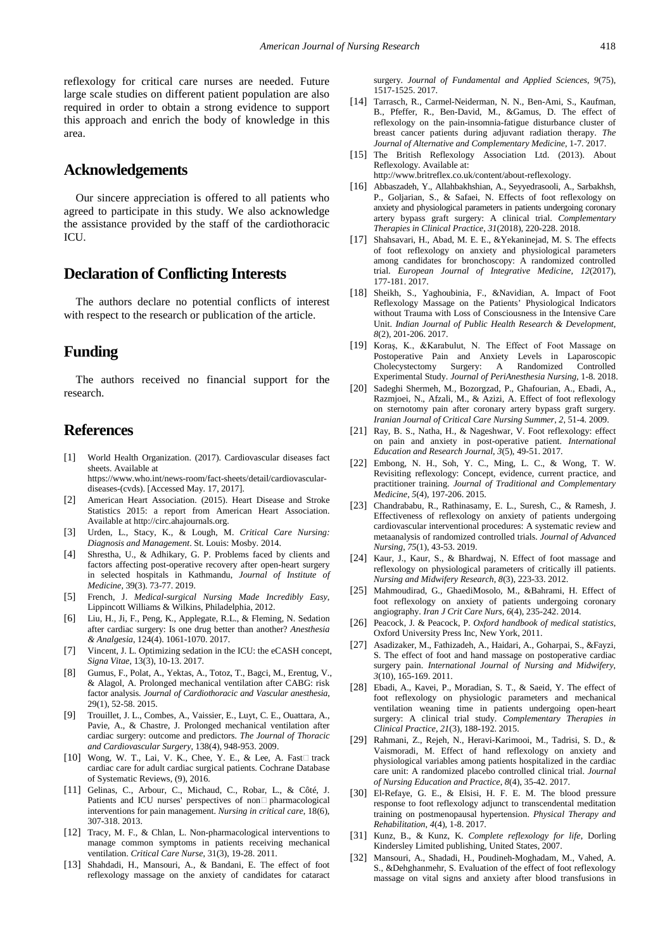reflexology for critical care nurses are needed. Future large scale studies on different patient population are also required in order to obtain a strong evidence to support this approach and enrich the body of knowledge in this area.

# **Acknowledgements**

Our sincere appreciation is offered to all patients who agreed to participate in this study. We also acknowledge the assistance provided by the staff of the cardiothoracic ICU.

# **Declaration of Conflicting Interests**

The authors declare no potential conflicts of interest with respect to the research or publication of the article.

# **Funding**

The authors received no financial support for the research.

# **References**

- <span id="page-6-0"></span>[1] World Health Organization. (2017). Cardiovascular diseases fact sheets. Available at https://www.who.int/news-room/fact-sheets/detail/cardiovasculardiseases-(cvds). [Accessed May. 17, 2017].
- <span id="page-6-1"></span>[2] American Heart Association. (2015). Heart Disease and Stroke Statistics 2015: a report from American Heart Association. Available at http://circ.ahajournals.org.
- <span id="page-6-2"></span>[3] Urden, L., Stacy, K., & Lough, M. *Critical Care Nursing: Diagnosis and Management*. St. Louis: Mosby. 2014.
- <span id="page-6-3"></span>[4] Shrestha, U., & Adhikary, G. P. Problems faced by clients and factors affecting post-operative recovery after open-heart surgery in selected hospitals in Kathmandu, *Journal of Institute of Medicine,* 39(3). 73-77. 2019.
- <span id="page-6-4"></span>[5] French, J. *Medical-surgical Nursing Made Incredibly Easy*, Lippincott Williams & Wilkins, Philadelphia, 2012.
- <span id="page-6-5"></span>[6] Liu, H., Ji, F., Peng, K., Applegate, R.L., & Fleming, N. Sedation after cardiac surgery: Is one drug better than another? *Anesthesia & Analgesia*, 124(4). 1061-1070. 2017.
- <span id="page-6-6"></span>[7] Vincent, J. L. Optimizing sedation in the ICU: the eCASH concept, *Signa Vitae*, 13(3), 10-13. 2017.
- <span id="page-6-7"></span>[8] Gumus, F., Polat, A., Yektas, A., Totoz, T., Bagci, M., Erentug, V., & Alagol, A. Prolonged mechanical ventilation after CABG: risk factor analysis. *Journal of Cardiothoracic and Vascular anesthesia*, 29(1), 52-58. 2015.
- [9] Trouillet, J. L., Combes, A., Vaissier, E., Luyt, C. E., Ouattara, A., Pavie, A., & Chastre, J. Prolonged mechanical ventilation after cardiac surgery: outcome and predictors. *The Journal of Thoracic and Cardiovascular Surgery*, 138(4), 948-953. 2009.
- <span id="page-6-8"></span>[10] Wong, W. T., Lai, V. K., Chee, Y. E., & Lee, A. Fast□ track cardiac care for adult cardiac surgical patients. Cochrane Database of Systematic Reviews, (9), 2016.
- <span id="page-6-9"></span>[11] Gelinas, C., Arbour, C., Michaud, C., Robar, L., & Côté, J. Patients and ICU nurses' perspectives of  $non\Box$  pharmacological interventions for pain management. *Nursing in critical care*, 18(6), 307-318. 2013.
- [12] Tracy, M. F., & Chlan, L. Non-pharmacological interventions to manage common symptoms in patients receiving mechanical ventilation. *Critical Care Nurse*, 31(3), 19-28. 2011.
- <span id="page-6-10"></span>[13] Shahdadi, H., Mansouri, A., & Bandani, E. The effect of foot reflexology massage on the anxiety of candidates for cataract

surgery. *Journal of Fundamental and Applied Sciences*, *9*(75), 1517-1525. 2017.

- <span id="page-6-11"></span>[14] Tarrasch, R., Carmel-Neiderman, N. N., Ben-Ami, S., Kaufman, B., Pfeffer, R., Ben-David, M., &Gamus, D. The effect of reflexology on the pain-insomnia-fatigue disturbance cluster of breast cancer patients during adjuvant radiation therapy. *The Journal of Alternative and Complementary Medicine*, 1-7. 2017.
- <span id="page-6-12"></span>[15] The British Reflexology Association Ltd. (2013). About Reflexology. Available at: http://www.britreflex.co.uk/content/about-reflexology.
- <span id="page-6-13"></span>[16] Abbaszadeh, Y., Allahbakhshian, A., Seyyedrasooli, A., Sarbakhsh, P., Goljarian, S., & Safaei, N. Effects of foot reflexology on anxiety and physiological parameters in patients undergoing coronary artery bypass graft surgery: A clinical trial. *Complementary Therapies in Clinical Practice*, *31*(2018), 220-228. 2018.
- <span id="page-6-21"></span>[17] Shahsavari, H., Abad, M. E. E., &Yekaninejad, M. S. The effects of foot reflexology on anxiety and physiological parameters among candidates for bronchoscopy: A randomized controlled trial. *European Journal of Integrative Medicine, 12*(2017), 177-181. 2017.
- <span id="page-6-20"></span>[18] Sheikh, S., Yaghoubinia, F., &Navidian, A. Impact of Foot Reflexology Massage on the Patients' Physiological Indicators without Trauma with Loss of Consciousness in the Intensive Care Unit. *Indian Journal of Public Health Research & Development*, *8*(2), 201-206. 2017.
- <span id="page-6-14"></span>[19] Koraş, K., &Karabulut, N. The Effect of Foot Massage on Postoperative Pain and Anxiety Levels in Laparoscopic Cholecystectomy Surgery: A Randomized Controlled Experimental Study. *Journal of PeriAnesthesia Nursing,* 1-8. 2018.
- <span id="page-6-15"></span>[20] Sadeghi Shermeh, M., Bozorgzad, P., Ghafourian, A., Ebadi, A., Razmjoei, N., Afzali, M., & Azizi, A. Effect of foot reflexology on sternotomy pain after coronary artery bypass graft surgery. *Iranian Journal of Critical Care Nursing Summer*, *2*, 51-4. 2009.
- <span id="page-6-16"></span>[21] Ray, B. S., Natha, H., & Nageshwar, V. Foot reflexology: effect on pain and anxiety in post-operative patient. *International Education and Research Journal*, *3*(5), 49-51. 2017.
- <span id="page-6-17"></span>[22] Embong, N. H., Soh, Y. C., Ming, L. C., & Wong, T. W. Revisiting reflexology: Concept, evidence, current practice, and practitioner training. *Journal of Traditional and Complementary Medicine*, *5*(4), 197-206. 2015.
- [23] Chandrababu, R., Rathinasamy, E. L., Suresh, C., & Ramesh, J. Effectiveness of reflexology on anxiety of patients undergoing cardiovascular interventional procedures: A systematic review and metaanalysis of randomized controlled trials. *Journal of Advanced Nursing*, *75*(1), 43-53. 2019.
- [24] Kaur, J., Kaur, S., & Bhardwaj, N. Effect of foot massage and reflexology on physiological parameters of critically ill patients. *Nursing and Midwifery Research*, *8*(3), 223-33. 2012.
- [25] Mahmoudirad, G., GhaediMosolo, M., &Bahrami, H. Effect of foot reflexology on anxiety of patients undergoing coronary angiography. *Iran J Crit Care Nurs*, *6*(4), 235-242. 2014.
- <span id="page-6-18"></span>[26] Peacock, J. & Peacock, P. *Oxford handbook of medical statistics*, Oxford University Press Inc, New York, 2011.
- <span id="page-6-25"></span>[27] Asadizaker, M., Fathizadeh, A., Haidari, A., Goharpai, S., &Fayzi, S. The effect of foot and hand massage on postoperative cardiac surgery pain. *International Journal of Nursing and Midwifery*, *3*(10), 165-169. 2011.
- <span id="page-6-23"></span>[28] Ebadi, A., Kavei, P., Moradian, S. T., & Saeid, Y. The effect of foot reflexology on physiologic parameters and mechanical ventilation weaning time in patients undergoing open-heart surgery: A clinical trial study. *Complementary Therapies in Clinical Practice*, *21*(3), 188-192. 2015.
- <span id="page-6-24"></span>[29] Rahmani, Z., Rejeh, N., Heravi-Karimooi, M., Tadrisi, S. D., & Vaismoradi, M. Effect of hand reflexology on anxiety and physiological variables among patients hospitalized in the cardiac care unit: A randomized placebo controlled clinical trial. *Journal of Nursing Education and Practice*, *8*(4), 35-42. 2017.
- <span id="page-6-22"></span>[30] El-Refaye, G. E., & Elsisi, H. F. E. M. The blood pressure response to foot reflexology adjunct to transcendental meditation training on postmenopausal hypertension. *Physical Therapy and Rehabilitation*, *4*(4), 1-8. 2017.
- <span id="page-6-19"></span>[31] Kunz, B., & Kunz, K. *Complete reflexology for life*, Dorling Kindersley Limited publishing, United States, 2007.
- [32] Mansouri, A., Shadadi, H., Poudineh-Moghadam, M., Vahed, A. S., &Dehghanmehr, S. Evaluation of the effect of foot reflexology massage on vital signs and anxiety after blood transfusions in